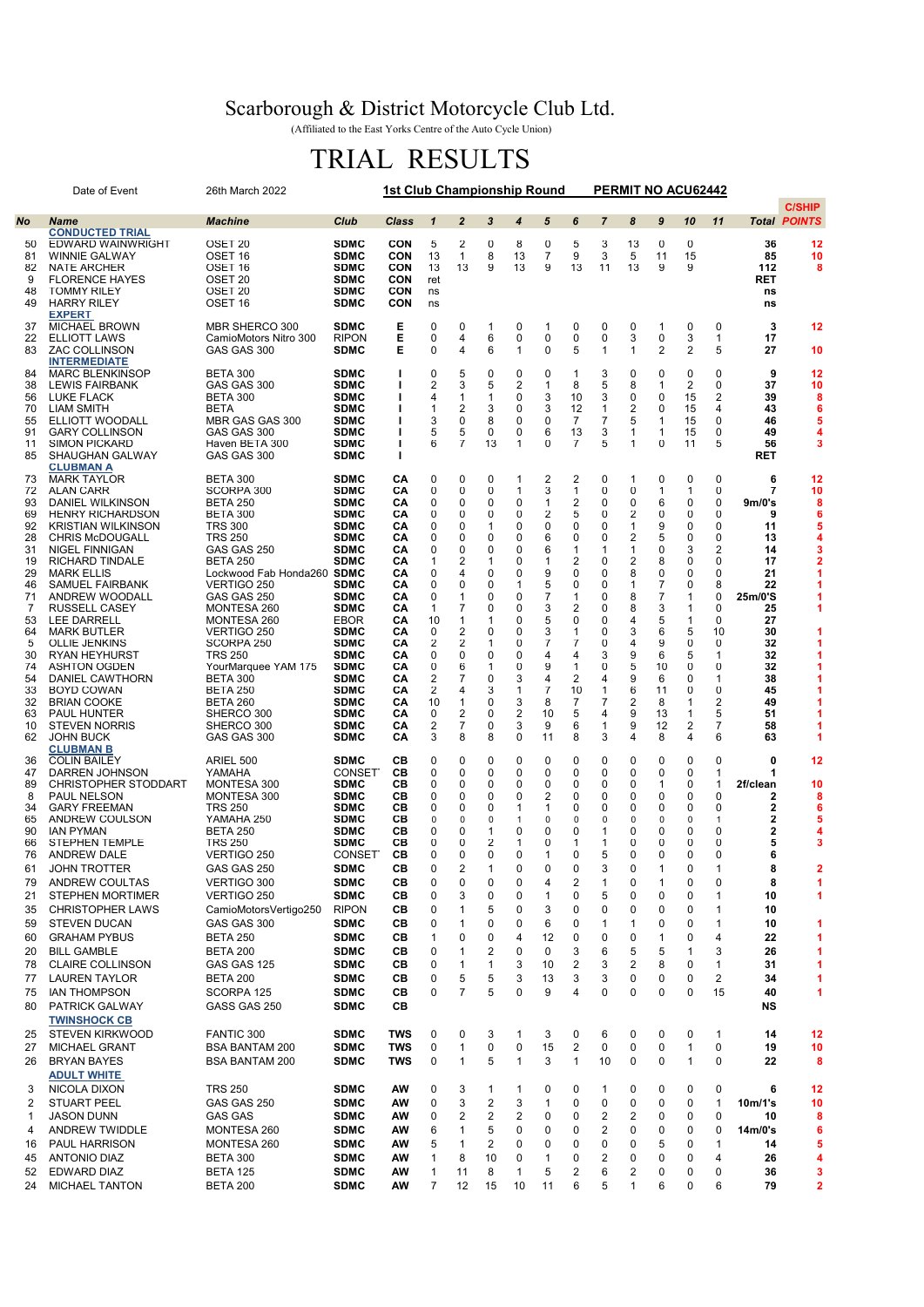## Scarborough & District Motorcycle Club Ltd.

(Affiliated to the East Yorks Centre of the Auto Cycle Union)

## TRIAL RESULTS

|          | Date of Event                                        |                                           | <b>1st Club Championship Round</b> |              |                         | PERMIT NO ACU62442 |        |                   |        |                |                |                                |                  |                |                |                     |                     |
|----------|------------------------------------------------------|-------------------------------------------|------------------------------------|--------------|-------------------------|--------------------|--------|-------------------|--------|----------------|----------------|--------------------------------|------------------|----------------|----------------|---------------------|---------------------|
|          |                                                      |                                           |                                    |              |                         |                    |        |                   |        |                |                |                                |                  |                |                |                     | <b>C/SHIP</b>       |
| No       | <b>Name</b>                                          | <b>Machine</b>                            | Club                               | <b>Class</b> | $\mathbf{1}$            | $\overline{2}$     | 3      | $\overline{4}$    | 5      | 6              | $\overline{7}$ | 8                              | $\boldsymbol{9}$ | 10             | 11             |                     | <b>Total POINTS</b> |
| 50       | <b>CONDUCTED TRIAL</b><br>EDWARD WAINWRIGHT          | OSET 20                                   | <b>SDMC</b>                        | <b>CON</b>   | 5                       | 2                  | 0      | 8                 | 0      | 5              | 3              | 13                             | 0                | 0              |                | 36                  | 12                  |
| 81       | <b>WINNIE GALWAY</b>                                 | OSET 16                                   | <b>SDMC</b>                        | CON          | 13                      | 1                  | 8      | 13                | 7      | 9              | 3              | 5                              | 11               | 15             |                | 85                  | 10                  |
| 82       | <b>NATE ARCHER</b>                                   | OSET 16                                   | <b>SDMC</b>                        | CON          | 13                      | 13                 | 9      | 13                | 9      | 13             | 11             | 13                             | 9                | 9              |                | 112                 | 8                   |
| 9<br>48  | <b>FLORENCE HAYES</b><br><b>TOMMY RILEY</b>          | OSET 20<br>OSET 20                        | <b>SDMC</b><br><b>SDMC</b>         | CON<br>CON   | ret<br>ns               |                    |        |                   |        |                |                |                                |                  |                |                | RET<br>ns           |                     |
| 49       | <b>HARRY RILEY</b>                                   | OSET 16                                   | <b>SDMC</b>                        | CON          | ns                      |                    |        |                   |        |                |                |                                |                  |                |                | ns                  |                     |
|          | <b>EXPERT</b>                                        |                                           |                                    |              |                         |                    |        |                   |        |                |                |                                |                  |                |                |                     |                     |
| 37       | <b>MICHAEL BROWN</b>                                 | MBR SHERCO 300                            | <b>SDMC</b>                        | Е            | 0                       | 0                  | 1      | 0                 | 1      | 0              | 0              | 0                              | 1                | 0              | 0              | 3                   | 12                  |
| 22<br>83 | <b>ELLIOTT LAWS</b><br><b>ZAC COLLINSON</b>          | CamioMotors Nitro 300<br>GAS GAS 300      | <b>RIPON</b><br><b>SDMC</b>        | E<br>Е       | 0<br>0                  | 4<br>4             | 6<br>6 | 0<br>$\mathbf{1}$ | 0<br>0 | 0<br>5         | 0<br>1         | 3<br>$\mathbf{1}$              | 0<br>2           | 3<br>2         | 1<br>5         | 17<br>27            | 10                  |
|          | <b>INTERMEDIATE</b>                                  |                                           |                                    |              |                         |                    |        |                   |        |                |                |                                |                  |                |                |                     |                     |
| 84       | <b>MARC BLENKINSOP</b>                               | <b>BETA 300</b>                           | <b>SDMC</b>                        | ı            | 0                       | 5                  | 0      | 0                 | 0      | 1              | 3              | 0                              | 0                | 0              | 0              | 9                   | 12                  |
| 38       | <b>LEWIS FAIRBANK</b>                                | GAS GAS 300                               | <b>SDMC</b>                        |              | 2                       | 3                  | 5      | 2                 | 1      | 8              | 5              | 8                              | 1                | 2              | 0              | 37                  | 10                  |
| 56<br>70 | LUKE FLACK<br><b>LIAM SMITH</b>                      | BETA 300<br><b>BETA</b>                   | <b>SDMC</b><br><b>SDMC</b>         |              | 4<br>1                  | $\mathbf{1}$<br>2  | 1<br>3 | 0<br>0            | 3<br>3 | 10<br>12       | 3<br>1         | 0<br>$\overline{2}$            | 0<br>0           | 15<br>15       | 2<br>4         | 39<br>43            | 8<br>6              |
| 55       | ELLIOTT WOODALL                                      | MBR GAS GAS 300                           | <b>SDMC</b>                        |              | 3                       | 0                  | 8      | 0                 | 0      | 7              | 7              | 5                              | 1                | 15             | 0              | 46                  | 5                   |
| 91       | <b>GARY COLLINSON</b>                                | GAS GAS 300                               | <b>SDMC</b>                        |              | 5                       | 5                  | 0      | 0                 | 6      | 13             | 3              | 1                              | 1                | 15             | 0              | 49                  | 4                   |
| 11       | <b>SIMON PICKARD</b>                                 | Haven BETA 300                            | <b>SDMC</b>                        |              | 6                       | 7                  | 13     | $\mathbf{1}$      | 0      | 7              | 5              | 1                              | 0                | 11             | 5              | 56                  | 3                   |
| 85       | <b>SHAUGHAN GALWAY</b><br><b>CLUBMAN A</b>           | GAS GAS 300                               | <b>SDMC</b>                        |              |                         |                    |        |                   |        |                |                |                                |                  |                |                | <b>RET</b>          |                     |
| 73       | <b>MARK TAYLOR</b>                                   | BETA 300                                  | <b>SDMC</b>                        | CA           | 0                       | 0                  | 0      | 1                 | 2      | $\overline{2}$ | 0              | $\mathbf{1}$                   | 0                | 0              | 0              | 6                   | 12                  |
| 72       | ALAN CARR                                            | SCORPA 300                                | <b>SDMC</b>                        | CА           | 0                       | 0                  | 0      | 1                 | 3      | 1              | 0              | 0                              | 1                | 1              | 0              | 7                   | 10                  |
| 93       | DANIEL WILKINSON                                     | <b>BETA 250</b>                           | <b>SDMC</b>                        | CА           | 0                       | 0                  | 0      | 0                 | 1      | 2              | 0              | 0                              | 6                | 0              | 0              | 9 <sub>m</sub> /0's | 8                   |
| 69<br>92 | <b>HENRY RICHARDSON</b><br><b>KRISTIAN WILKINSON</b> | <b>BETA 300</b><br><b>TRS 300</b>         | <b>SDMC</b><br><b>SDMC</b>         | CА<br>CА     | 0<br>0                  | 0<br>0             | 0<br>1 | 0<br>0            | 2<br>0 | 5<br>0         | 0<br>0         | $\overline{2}$<br>$\mathbf{1}$ | 0<br>9           | 0<br>0         | 0<br>0         | 9<br>11             | 6<br>5              |
| 28       | <b>CHRIS McDOUGALL</b>                               | <b>TRS 250</b>                            | <b>SDMC</b>                        | CА           | 0                       | 0                  | 0      | 0                 | 6      | 0              | 0              | 2                              | 5                | 0              | 0              | 13                  | 4                   |
| 31       | NIGEL FINNIGAN                                       | GAS GAS 250                               | <b>SDMC</b>                        | CА           | 0                       | 0                  | 0      | 0                 | 6      | 1              | 1              | 1                              | O                | 3              | 2              | 14                  | 3                   |
| 19       | RICHARD TINDALE                                      | <b>BETA 250</b>                           | <b>SDMC</b>                        | CА           | $\mathbf{1}$            | 2                  | 1      | 0                 | 1      | 2              | 0              | $\overline{\mathbf{c}}$        | 8                | 0              | 0              | 17                  | 2                   |
| 29<br>46 | <b>MARK ELLIS</b><br><b>SAMUEL FAIRBANK</b>          | Lockwood Fab Honda260 SDMC<br>VERTIGO 250 | <b>SDMC</b>                        | CА<br>CА     | 0<br>0                  | 4<br>0             | 0<br>0 | 0<br>1            | 9<br>5 | 0<br>0         | 0<br>0         | 8<br>$\mathbf 1$               | 0<br>7           | 0<br>0         | 0<br>8         | 21<br>22            | 1<br>1              |
| 71       | ANDREW WOODALL                                       | GAS GAS 250                               | <b>SDMC</b>                        | CА           | 0                       | 1                  | 0      | 0                 | 7      | 1              | $\Omega$       | 8                              | 7                | 1              | 0              | 25m/0'S             |                     |
| 7        | <b>RUSSELL CASEY</b>                                 | MONTESA 260                               | <b>SDMC</b>                        | CА           | 1                       | 7                  | 0      | 0                 | 3      | 2              | 0              | 8                              | 3                | 1              | 0              | 25                  | 1                   |
| 53       | <b>LEE DARRELL</b>                                   | MONTESA 260                               | EBOR                               | CА           | 10                      | 1                  | 1      | 0                 | 5      | 0              | 0              | 4                              | 5                | 1              | 0              | 27                  |                     |
| 64<br>5  | <b>MARK BUTLER</b><br><b>OLLIE JENKINS</b>           | VERTIGO 250<br>SCORPA 250                 | <b>SDMC</b><br><b>SDMC</b>         | CА<br>CА     | 0<br>2                  | 2<br>2             | 0<br>1 | 0<br>0            | 3<br>7 | 1<br>7         | 0<br>0         | 3<br>4                         | 6<br>9           | 5<br>0         | 10<br>0        | 30<br>32            | 1<br>1              |
| 30       | <b>RYAN HEYHURST</b>                                 | <b>TRS 250</b>                            | <b>SDMC</b>                        | CА           | 0                       | 0                  | 0      | 0                 | 4      | 4              | 3              | 9                              | 6                | 5              | 1              | 32                  | 1                   |
| 74       | <b>ASHTON OGDEN</b>                                  | YourMarquee YAM 175                       | <b>SDMC</b>                        | CА           | 0                       | 6                  | 1      | 0                 | 9      | 1              | 0              | 5                              | 10               | 0              | 0              | 32                  | 1                   |
| 54       | DANIEL CAWTHORN                                      | BETA 300                                  | <b>SDMC</b>                        | CА           | 2                       | 7                  | 0      | 3                 | 4      | 2              | 4              | 9                              | 6                | 0              | 1              | 38                  |                     |
| 33<br>32 | <b>BOYD COWAN</b><br><b>BRIAN COOKE</b>              | <b>BETA 250</b><br>BETA 260               | <b>SDMC</b><br><b>SDMC</b>         | CА<br>CА     | 2<br>10                 | 4<br>1             | 3<br>0 | 1<br>3            | 7<br>8 | 10<br>7        | 1<br>7         | 6<br>2                         | 11<br>8          | 0<br>1         | 0<br>2         | 45<br>49            | 1                   |
| 63       | <b>PAUL HUNTER</b>                                   | SHERCO 300                                | <b>SDMC</b>                        | CА           | 0                       | 2                  | 0      | $\overline{2}$    | 10     | 5              | 4              | 9                              | 13               | 1              | 5              | 51                  | 1                   |
| 10       | <b>STEVEN NORRIS</b>                                 | SHERCO 300                                | <b>SDMC</b>                        | CА           | $\overline{\mathbf{c}}$ | 7                  | 0      | 3                 | 9      | 6              | 1              | 9                              | 12               | $\overline{2}$ | $\overline{7}$ | 58                  | 1                   |
| 62       | <b>JOHN BUCK</b>                                     | GAS GAS 300                               | <b>SDMC</b>                        | CА           | 3                       | 8                  | 8      | 0                 | 11     | 8              | 3              | 4                              | 8                | 4              | 6              | 63                  | 1                   |
| 36       | <b>CLUBMAN B</b><br><b>COLIN BAILEY</b>              | ARIEL 500                                 | <b>SDMC</b>                        | CВ           | 0                       | 0                  | 0      | 0                 | 0      | 0              | 0              | 0                              | 0                | 0              | 0              | 0                   | 12                  |
| 47       | DARREN JOHNSON                                       | YAMAHA                                    | CONSET <sup>®</sup>                | CВ           | 0                       | 0                  | 0      | 0                 | 0      | 0              | 0              | 0                              | 0                | 0              | 1              | 1                   |                     |
| 89       | <b>CHRISTOPHER STODDART</b>                          | MONTESA 300                               | <b>SDMC</b>                        | CВ           | 0                       | 0                  | 0      | 0                 | 0      | 0              | 0              | 0                              | 1                | 0              | 1              | 2f/clean            | 10                  |
| 8        | PAUL NELSON                                          | MONTESA 300                               | <b>SDMC</b>                        | CВ           | 0                       | 0                  | 0      | 0                 | 2      | $\Omega$       | 0              | 0                              | 0                | 0              | 0              | 2                   | 8                   |
| 34<br>65 | <b>GARY FREEMAN</b><br>ANDREW COULSON                | <b>TRS 250</b><br>YAMAHA 250              | <b>SDMC</b><br><b>SDMC</b>         | CВ<br>CВ     | 0<br>0                  | 0<br>0             | 0<br>0 | 1<br>$\mathbf{1}$ | 1<br>0 | 0<br>0         | 0<br>0         | 0<br>$\mathbf 0$               | 0<br>$\Omega$    | 0<br>0         | 0<br>1         | 2<br>2              | 6<br>5              |
| 90       | IAN PYMAN                                            | <b>BETA 250</b>                           | <b>SDMC</b>                        | CВ           | 0                       | 0                  | 1      | 0                 | 0      | 0              | 1              | 0                              | 0                | 0              | 0              | 2                   | 4                   |
| 66       | <b>STEPHEN TEMPLE</b>                                | <b>TRS 250</b>                            | <b>SDMC</b>                        | CВ           | 0                       | 0                  | 2      | 1                 | 0      | 1              | 1              | 0                              | 0                | 0              | 0              | 5                   | 3                   |
| 76       | <b>ANDREW DALE</b>                                   | VERTIGO 250                               | CONSET <sup>-</sup>                | CВ           | 0                       | 0                  | 0      | 0                 | 1      | 0              | 5              | 0                              | 0                | 0              | 0              | 6                   |                     |
| 61       | <b>JOHN TROTTER</b>                                  | GAS GAS 250                               | <b>SDMC</b>                        | CВ           | 0                       | 2                  | 1      | 0                 | 0      | 0              | 3              | 0                              | 1                | 0              | 1              | 8                   | 2                   |
| 79       | ANDREW COULTAS                                       | VERTIGO 300                               | <b>SDMC</b><br><b>SDMC</b>         | CВ<br>CВ     | 0<br>0                  | 0<br>3             | 0<br>0 | 0<br>0            | 4<br>1 | 2<br>0         | 1<br>5         | 0<br>$\mathbf 0$               | 1<br>0           | 0<br>0         | 0              | 8<br>10             | 1<br>1              |
| 21<br>35 | <b>STEPHEN MORTIMER</b><br><b>CHRISTOPHER LAWS</b>   | VERTIGO 250<br>CamioMotorsVertigo250      | <b>RIPON</b>                       | CВ           | 0                       | 1                  | 5      | 0                 | 3      | 0              | 0              | 0                              | 0                | 0              | 1<br>1         | 10                  |                     |
| 59       | <b>STEVEN DUCAN</b>                                  | GAS GAS 300                               | <b>SDMC</b>                        | CВ           | 0                       | 1                  | 0      | 0                 | 6      | 0              | 1              | $\mathbf{1}$                   | 0                | 0              | 1              | 10                  | 1                   |
| 60       | <b>GRAHAM PYBUS</b>                                  | <b>BETA 250</b>                           | <b>SDMC</b>                        | CВ           | $\mathbf{1}$            | 0                  | 0      | 4                 | 12     | $\pmb{0}$      | 0              | $\pmb{0}$                      | 1                | 0              | 4              | 22                  | $\overline{1}$      |
| 20       | <b>BILL GAMBLE</b>                                   | <b>BETA 200</b>                           | <b>SDMC</b>                        | CВ           | 0                       | 1                  | 2      | 0                 | 0      | 3              | 6              | 5                              | 5                | $\mathbf{1}$   | 3              | 26                  | 1                   |
| 78       | <b>CLAIRE COLLINSON</b>                              | GAS GAS 125                               | <b>SDMC</b>                        | CВ           | 0                       | $\mathbf{1}$       | 1      | 3                 | 10     | $\overline{2}$ | 3              | $\overline{2}$                 | 8                | 0              | 1              | 31                  | 1                   |
| 77       | <b>LAUREN TAYLOR</b>                                 | <b>BETA 200</b>                           | <b>SDMC</b>                        | CВ           | 0                       | 5                  | 5      | 3                 | 13     | 3              | 3              | 0                              | 0                | 0              | 2              | 34                  | 1                   |
| 75       | <b>IAN THOMPSON</b>                                  | SCORPA 125                                | <b>SDMC</b>                        | CВ           | $\mathbf 0$             | $\overline{7}$     | 5      | $\mathbf 0$       | 9      | 4              | $\mathbf 0$    | $\pmb{0}$                      | 0                | $\mathbf 0$    | 15             | 40                  | 1                   |
| 80       | PATRICK GALWAY                                       | GASS GAS 250                              | <b>SDMC</b>                        | CВ           |                         |                    |        |                   |        |                |                |                                |                  |                |                | NS                  |                     |
|          | <b>TWINSHOCK CB</b>                                  |                                           |                                    |              |                         |                    |        |                   |        |                |                |                                |                  |                |                |                     |                     |
| 25       | <b>STEVEN KIRKWOOD</b>                               | FANTIC 300                                | <b>SDMC</b>                        | <b>TWS</b>   | 0                       | 0                  | 3      | $\mathbf{1}$      | 3      | 0              | 6              | 0                              | 0                | 0              | 1              | 14                  | 12                  |
| 27       | <b>MICHAEL GRANT</b>                                 | <b>BSA BANTAM 200</b>                     | <b>SDMC</b>                        | <b>TWS</b>   | 0                       | $\mathbf{1}$       | 0      | $\mathbf 0$       | 15     | $\overline{c}$ | $\mathbf 0$    | $\pmb{0}$                      | 0                | $\mathbf{1}$   | $\pmb{0}$      | 19                  | 10                  |
| 26       | <b>BRYAN BAYES</b>                                   | <b>BSA BANTAM 200</b>                     | <b>SDMC</b>                        | <b>TWS</b>   | 0                       | $\mathbf{1}$       | 5      | $\mathbf{1}$      | 3      | $\mathbf{1}$   | 10             | $\mathbf 0$                    | 0                | $\mathbf{1}$   | 0              | 22                  | 8                   |
| 3        | <b>ADULT WHITE</b><br>NICOLA DIXON                   | <b>TRS 250</b>                            | <b>SDMC</b>                        | AW           | 0                       |                    | 1      | 1                 | 0      | 0              | 1              | 0                              | 0                | 0              | 0              | 6                   | 12                  |
| 2        | <b>STUART PEEL</b>                                   | GAS GAS 250                               | <b>SDMC</b>                        | AW           | 0                       | 3<br>3             | 2      | 3                 | 1      | 0              | 0              | $\pmb{0}$                      | 0                | 0              | 1              | 10m/1's             | 10                  |
| 1        | <b>JASON DUNN</b>                                    | <b>GAS GAS</b>                            | <b>SDMC</b>                        | AW           | 0                       | 2                  | 2      | $\overline{2}$    | 0      | 0              | $\overline{2}$ | $\overline{2}$                 | 0                | 0              | $\pmb{0}$      | 10                  | 8                   |
| 4        | ANDREW TWIDDLE                                       | MONTESA 260                               | <b>SDMC</b>                        | AW           | 6                       | 1                  | 5      | 0                 | 0      | 0              | 2              | 0                              | 0                | 0              | 0              | 14m/0's             | 6                   |
| 16       | PAUL HARRISON                                        | MONTESA 260                               | <b>SDMC</b>                        | AW           | 5                       | 1                  | 2      | 0                 | 0      | 0              | 0              | 0                              | 5                | 0              | 1              | 14                  | 5                   |
| 45       | <b>ANTONIO DIAZ</b>                                  | <b>BETA 300</b>                           | <b>SDMC</b>                        | AW           | $\mathbf{1}$            | 8                  | 10     | 0                 | 1      | 0              | 2              | $\mathbf 0$                    | 0                | 0              | 4              | 26                  | 4                   |
| 52       | EDWARD DIAZ                                          | <b>BETA 125</b>                           | <b>SDMC</b>                        | AW           | $\mathbf{1}$            | 11                 | 8      | 1                 | 5      | 2              | 6              | 2                              | 0                | 0              | 0              | 36                  | 3                   |
| 24       | <b>MICHAEL TANTON</b>                                | <b>BETA 200</b>                           | <b>SDMC</b>                        | AW           | $\overline{7}$          | 12                 | 15     | 10                | 11     | 6              | 5              | 1                              | 6                | 0              | 6              | 79                  | 2                   |